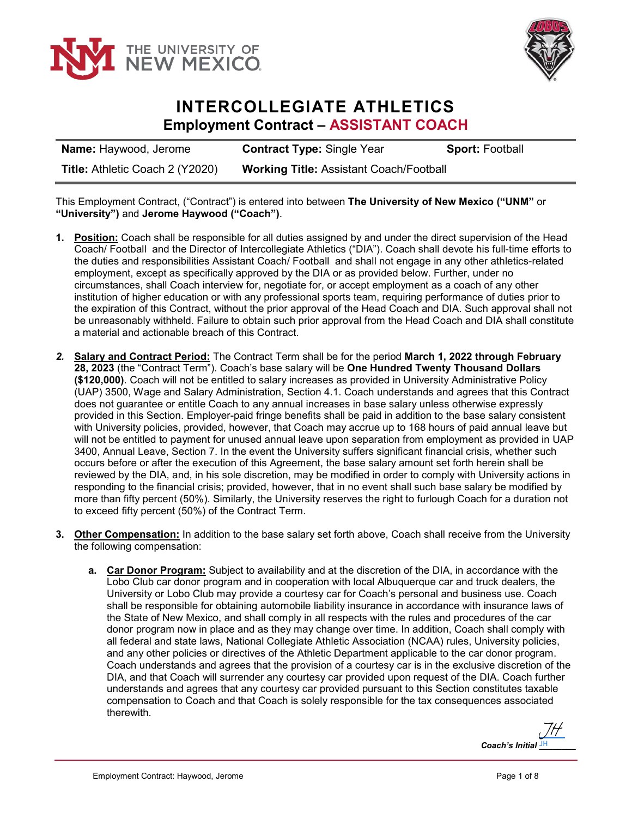



## **INTERCOLLEGIATE ATHLETICS Employment Contract – ASSISTANT COACH**

| <b>Name: Haywood, Jerome</b>           | <b>Contract Type: Single Year</b>              | <b>Sport: Football</b> |
|----------------------------------------|------------------------------------------------|------------------------|
| <b>Title: Athletic Coach 2 (Y2020)</b> | <b>Working Title: Assistant Coach/Football</b> |                        |

This Employment Contract, ("Contract") is entered into between **The University of New Mexico ("UNM"** or **"University")** and **Jerome Haywood ("Coach")**.

- **1. Position:** Coach shall be responsible for all duties assigned by and under the direct supervision of the Head Coach/ Football and the Director of Intercollegiate Athletics ("DIA"). Coach shall devote his full-time efforts to the duties and responsibilities Assistant Coach/ Football and shall not engage in any other athletics-related employment, except as specifically approved by the DIA or as provided below. Further, under no circumstances, shall Coach interview for, negotiate for, or accept employment as a coach of any other institution of higher education or with any professional sports team, requiring performance of duties prior to the expiration of this Contract, without the prior approval of the Head Coach and DIA. Such approval shall not be unreasonably withheld. Failure to obtain such prior approval from the Head Coach and DIA shall constitute a material and actionable breach of this Contract.
- *2.* **Salary and Contract Period:** The Contract Term shall be for the period **March 1, 2022 through February 28, 2023** (the "Contract Term"). Coach's base salary will be **One Hundred Twenty Thousand Dollars (\$120,000)**. Coach will not be entitled to salary increases as provided in University Administrative Policy (UAP) 3500, Wage and Salary Administration, Section 4.1. Coach understands and agrees that this Contract does not guarantee or entitle Coach to any annual increases in base salary unless otherwise expressly provided in this Section. Employer-paid fringe benefits shall be paid in addition to the base salary consistent with University policies, provided, however, that Coach may accrue up to 168 hours of paid annual leave but will not be entitled to payment for unused annual leave upon separation from employment as provided in UAP 3400, Annual Leave, Section 7. In the event the University suffers significant financial crisis, whether such occurs before or after the execution of this Agreement, the base salary amount set forth herein shall be reviewed by the DIA, and, in his sole discretion, may be modified in order to comply with University actions in responding to the financial crisis; provided, however, that in no event shall such base salary be modified by more than fifty percent (50%). Similarly, the University reserves the right to furlough Coach for a duration not to exceed fifty percent (50%) of the Contract Term.
- **3. Other Compensation:** In addition to the base salary set forth above, Coach shall receive from the University the following compensation:
	- **a. Car Donor Program:** Subject to availability and at the discretion of the DIA, in accordance with the Lobo Club car donor program and in cooperation with local Albuquerque car and truck dealers, the University or Lobo Club may provide a courtesy car for Coach's personal and business use. Coach shall be responsible for obtaining automobile liability insurance in accordance with insurance laws of the State of New Mexico, and shall comply in all respects with the rules and procedures of the car donor program now in place and as they may change over time. In addition, Coach shall comply with all federal and state laws, National Collegiate Athletic Association (NCAA) rules, University policies, and any other policies or directives of the Athletic Department applicable to the car donor program. Coach understands and agrees that the provision of a courtesy car is in the exclusive discretion of the DIA, and that Coach will surrender any courtesy car provided upon request of the DIA. Coach further understands and agrees that any courtesy car provided pursuant to this Section constitutes taxable compensation to Coach and that Coach is solely responsible for the tax consequences associated therewith.

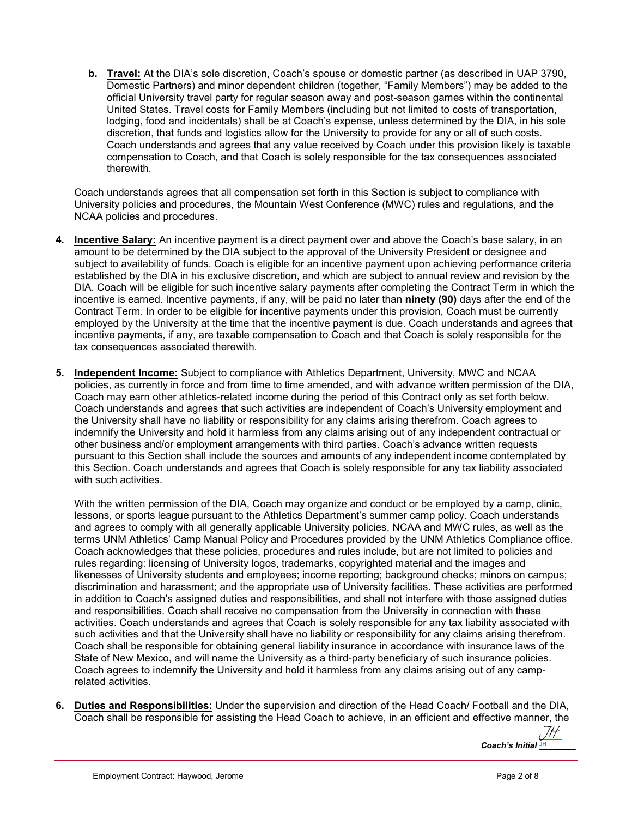**b. Travel:** At the DIA's sole discretion, Coach's spouse or domestic partner (as described in UAP 3790, Domestic Partners) and minor dependent children (together, "Family Members") may be added to the official University travel party for regular season away and post-season games within the continental United States. Travel costs for Family Members (including but not limited to costs of transportation, lodging, food and incidentals) shall be at Coach's expense, unless determined by the DIA, in his sole discretion, that funds and logistics allow for the University to provide for any or all of such costs. Coach understands and agrees that any value received by Coach under this provision likely is taxable compensation to Coach, and that Coach is solely responsible for the tax consequences associated therewith.

Coach understands agrees that all compensation set forth in this Section is subject to compliance with University policies and procedures, the Mountain West Conference (MWC) rules and regulations, and the NCAA policies and procedures.

- **4. Incentive Salary:** An incentive payment is a direct payment over and above the Coach's base salary, in an amount to be determined by the DIA subject to the approval of the University President or designee and subject to availability of funds. Coach is eligible for an incentive payment upon achieving performance criteria established by the DIA in his exclusive discretion, and which are subject to annual review and revision by the DIA. Coach will be eligible for such incentive salary payments after completing the Contract Term in which the incentive is earned. Incentive payments, if any, will be paid no later than **ninety (90)** days after the end of the Contract Term. In order to be eligible for incentive payments under this provision, Coach must be currently employed by the University at the time that the incentive payment is due. Coach understands and agrees that incentive payments, if any, are taxable compensation to Coach and that Coach is solely responsible for the tax consequences associated therewith.
- **5. Independent Income:** Subject to compliance with Athletics Department, University, MWC and NCAA policies, as currently in force and from time to time amended, and with advance written permission of the DIA, Coach may earn other athletics-related income during the period of this Contract only as set forth below. Coach understands and agrees that such activities are independent of Coach's University employment and the University shall have no liability or responsibility for any claims arising therefrom. Coach agrees to indemnify the University and hold it harmless from any claims arising out of any independent contractual or other business and/or employment arrangements with third parties. Coach's advance written requests pursuant to this Section shall include the sources and amounts of any independent income contemplated by this Section. Coach understands and agrees that Coach is solely responsible for any tax liability associated with such activities.

With the written permission of the DIA, Coach may organize and conduct or be employed by a camp, clinic, lessons, or sports league pursuant to the Athletics Department's summer camp policy. Coach understands and agrees to comply with all generally applicable University policies, NCAA and MWC rules, as well as the terms UNM Athletics' Camp Manual Policy and Procedures provided by the UNM Athletics Compliance office. Coach acknowledges that these policies, procedures and rules include, but are not limited to policies and rules regarding: licensing of University logos, trademarks, copyrighted material and the images and likenesses of University students and employees; income reporting; background checks; minors on campus; discrimination and harassment; and the appropriate use of University facilities. These activities are performed in addition to Coach's assigned duties and responsibilities, and shall not interfere with those assigned duties and responsibilities. Coach shall receive no compensation from the University in connection with these activities. Coach understands and agrees that Coach is solely responsible for any tax liability associated with such activities and that the University shall have no liability or responsibility for any claims arising therefrom. Coach shall be responsible for obtaining general liability insurance in accordance with insurance laws of the State of New Mexico, and will name the University as a third-party beneficiary of such insurance policies. Coach agrees to indemnify the University and hold it harmless from any claims arising out of any camprelated activities.

**6. Duties and Responsibilities:** Under the supervision and direction of the Head Coach/ Football and the DIA, Coach shall be responsible for assisting the Head Coach to achieve, in an efficient and effective manner, the

Coach's Initial **JH** [JH](https://secure.na2.echosign.com/verifier?tx=CBJCHBCAABAAQqni6pgw1Y1Ph7gegyfxvWEZZrWKLdkw)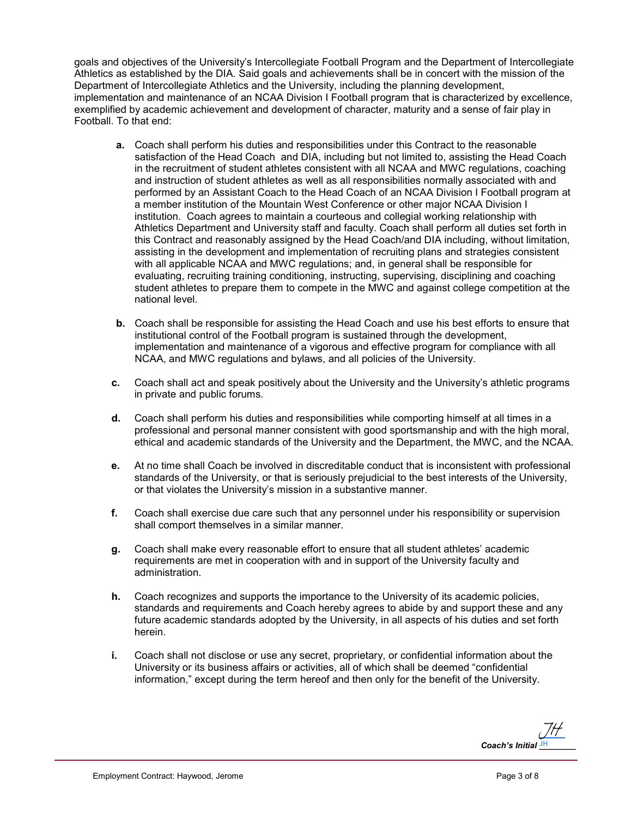goals and objectives of the University's Intercollegiate Football Program and the Department of Intercollegiate Athletics as established by the DIA. Said goals and achievements shall be in concert with the mission of the Department of Intercollegiate Athletics and the University, including the planning development, implementation and maintenance of an NCAA Division I Football program that is characterized by excellence, exemplified by academic achievement and development of character, maturity and a sense of fair play in Football. To that end:

- **a.** Coach shall perform his duties and responsibilities under this Contract to the reasonable satisfaction of the Head Coach and DIA, including but not limited to, assisting the Head Coach in the recruitment of student athletes consistent with all NCAA and MWC regulations, coaching and instruction of student athletes as well as all responsibilities normally associated with and performed by an Assistant Coach to the Head Coach of an NCAA Division I Football program at a member institution of the Mountain West Conference or other major NCAA Division I institution. Coach agrees to maintain a courteous and collegial working relationship with Athletics Department and University staff and faculty. Coach shall perform all duties set forth in this Contract and reasonably assigned by the Head Coach/and DIA including, without limitation, assisting in the development and implementation of recruiting plans and strategies consistent with all applicable NCAA and MWC regulations; and, in general shall be responsible for evaluating, recruiting training conditioning, instructing, supervising, disciplining and coaching student athletes to prepare them to compete in the MWC and against college competition at the national level.
- **b.** Coach shall be responsible for assisting the Head Coach and use his best efforts to ensure that institutional control of the Football program is sustained through the development, implementation and maintenance of a vigorous and effective program for compliance with all NCAA, and MWC regulations and bylaws, and all policies of the University.
- **c.** Coach shall act and speak positively about the University and the University's athletic programs in private and public forums.
- **d.** Coach shall perform his duties and responsibilities while comporting himself at all times in a professional and personal manner consistent with good sportsmanship and with the high moral, ethical and academic standards of the University and the Department, the MWC, and the NCAA.
- **e.** At no time shall Coach be involved in discreditable conduct that is inconsistent with professional standards of the University, or that is seriously prejudicial to the best interests of the University, or that violates the University's mission in a substantive manner.
- **f.** Coach shall exercise due care such that any personnel under his responsibility or supervision shall comport themselves in a similar manner.
- **g.** Coach shall make every reasonable effort to ensure that all student athletes' academic requirements are met in cooperation with and in support of the University faculty and administration.
- **h.** Coach recognizes and supports the importance to the University of its academic policies, standards and requirements and Coach hereby agrees to abide by and support these and any future academic standards adopted by the University, in all aspects of his duties and set forth herein.
- **i.** Coach shall not disclose or use any secret, proprietary, or confidential information about the University or its business affairs or activities, all of which shall be deemed "confidential information," except during the term hereof and then only for the benefit of the University.

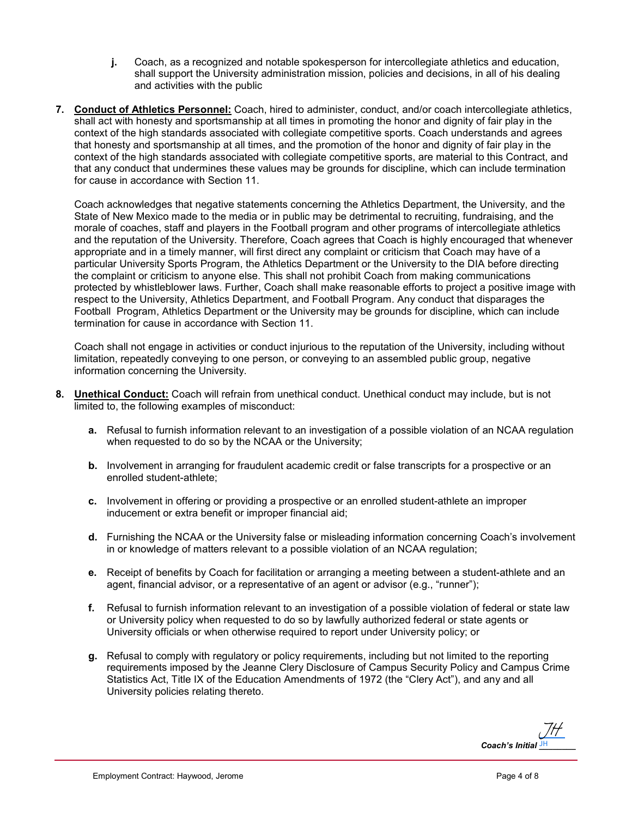- **j.** Coach, as a recognized and notable spokesperson for intercollegiate athletics and education, shall support the University administration mission, policies and decisions, in all of his dealing and activities with the public
- **7. Conduct of Athletics Personnel:** Coach, hired to administer, conduct, and/or coach intercollegiate athletics, shall act with honesty and sportsmanship at all times in promoting the honor and dignity of fair play in the context of the high standards associated with collegiate competitive sports. Coach understands and agrees that honesty and sportsmanship at all times, and the promotion of the honor and dignity of fair play in the context of the high standards associated with collegiate competitive sports, are material to this Contract, and that any conduct that undermines these values may be grounds for discipline, which can include termination for cause in accordance with Section 11.

Coach acknowledges that negative statements concerning the Athletics Department, the University, and the State of New Mexico made to the media or in public may be detrimental to recruiting, fundraising, and the morale of coaches, staff and players in the Football program and other programs of intercollegiate athletics and the reputation of the University. Therefore, Coach agrees that Coach is highly encouraged that whenever appropriate and in a timely manner, will first direct any complaint or criticism that Coach may have of a particular University Sports Program, the Athletics Department or the University to the DIA before directing the complaint or criticism to anyone else. This shall not prohibit Coach from making communications protected by whistleblower laws. Further, Coach shall make reasonable efforts to project a positive image with respect to the University, Athletics Department, and Football Program. Any conduct that disparages the Football Program, Athletics Department or the University may be grounds for discipline, which can include termination for cause in accordance with Section 11.

Coach shall not engage in activities or conduct injurious to the reputation of the University, including without limitation, repeatedly conveying to one person, or conveying to an assembled public group, negative information concerning the University.

- **8. Unethical Conduct:** Coach will refrain from unethical conduct. Unethical conduct may include, but is not limited to, the following examples of misconduct:
	- **a.** Refusal to furnish information relevant to an investigation of a possible violation of an NCAA regulation when requested to do so by the NCAA or the University;
	- **b.** Involvement in arranging for fraudulent academic credit or false transcripts for a prospective or an enrolled student-athlete;
	- **c.** Involvement in offering or providing a prospective or an enrolled student-athlete an improper inducement or extra benefit or improper financial aid;
	- **d.** Furnishing the NCAA or the University false or misleading information concerning Coach's involvement in or knowledge of matters relevant to a possible violation of an NCAA regulation;
	- **e.** Receipt of benefits by Coach for facilitation or arranging a meeting between a student-athlete and an agent, financial advisor, or a representative of an agent or advisor (e.g., "runner");
	- **f.** Refusal to furnish information relevant to an investigation of a possible violation of federal or state law or University policy when requested to do so by lawfully authorized federal or state agents or University officials or when otherwise required to report under University policy; or
	- **g.** Refusal to comply with regulatory or policy requirements, including but not limited to the reporting requirements imposed by the Jeanne Clery Disclosure of Campus Security Policy and Campus Crime Statistics Act, Title IX of the Education Amendments of 1972 (the "Clery Act"), and any and all University policies relating thereto.

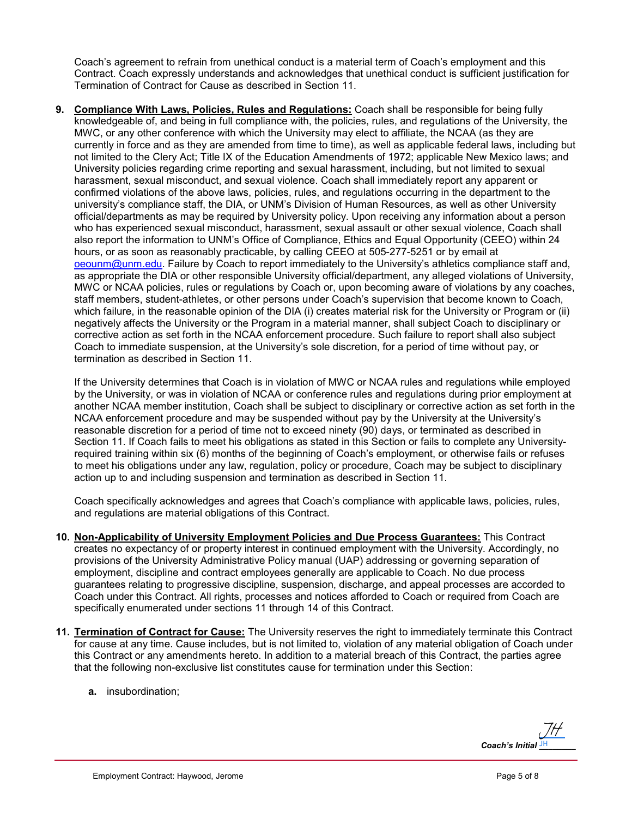Coach's agreement to refrain from unethical conduct is a material term of Coach's employment and this Contract. Coach expressly understands and acknowledges that unethical conduct is sufficient justification for Termination of Contract for Cause as described in Section 11.

**9. Compliance With Laws, Policies, Rules and Regulations:** Coach shall be responsible for being fully knowledgeable of, and being in full compliance with, the policies, rules, and regulations of the University, the MWC, or any other conference with which the University may elect to affiliate, the NCAA (as they are currently in force and as they are amended from time to time), as well as applicable federal laws, including but not limited to the Clery Act; Title IX of the Education Amendments of 1972; applicable New Mexico laws; and University policies regarding crime reporting and sexual harassment, including, but not limited to sexual harassment, sexual misconduct, and sexual violence. Coach shall immediately report any apparent or confirmed violations of the above laws, policies, rules, and regulations occurring in the department to the university's compliance staff, the DIA, or UNM's Division of Human Resources, as well as other University official/departments as may be required by University policy. Upon receiving any information about a person who has experienced sexual misconduct, harassment, sexual assault or other sexual violence, Coach shall also report the information to UNM's Office of Compliance, Ethics and Equal Opportunity (CEEO) within 24 hours, or as soon as reasonably practicable, by calling CEEO at 505-277-5251 or by email at [oeounm@unm.edu.](mailto:oeounm@unm.edu) Failure by Coach to report immediately to the University's athletics compliance staff and, as appropriate the DIA or other responsible University official/department, any alleged violations of University, MWC or NCAA policies, rules or regulations by Coach or, upon becoming aware of violations by any coaches, staff members, student-athletes, or other persons under Coach's supervision that become known to Coach, which failure, in the reasonable opinion of the DIA (i) creates material risk for the University or Program or (ii) negatively affects the University or the Program in a material manner, shall subject Coach to disciplinary or corrective action as set forth in the NCAA enforcement procedure. Such failure to report shall also subject Coach to immediate suspension, at the University's sole discretion, for a period of time without pay, or termination as described in Section 11.

If the University determines that Coach is in violation of MWC or NCAA rules and regulations while employed by the University, or was in violation of NCAA or conference rules and regulations during prior employment at another NCAA member institution, Coach shall be subject to disciplinary or corrective action as set forth in the NCAA enforcement procedure and may be suspended without pay by the University at the University's reasonable discretion for a period of time not to exceed ninety (90) days, or terminated as described in Section 11. If Coach fails to meet his obligations as stated in this Section or fails to complete any Universityrequired training within six (6) months of the beginning of Coach's employment, or otherwise fails or refuses to meet his obligations under any law, regulation, policy or procedure, Coach may be subject to disciplinary action up to and including suspension and termination as described in Section 11.

Coach specifically acknowledges and agrees that Coach's compliance with applicable laws, policies, rules, and regulations are material obligations of this Contract.

- **10. Non-Applicability of University Employment Policies and Due Process Guarantees:** This Contract creates no expectancy of or property interest in continued employment with the University. Accordingly, no provisions of the University Administrative Policy manual (UAP) addressing or governing separation of employment, discipline and contract employees generally are applicable to Coach. No due process guarantees relating to progressive discipline, suspension, discharge, and appeal processes are accorded to Coach under this Contract. All rights, processes and notices afforded to Coach or required from Coach are specifically enumerated under sections 11 through 14 of this Contract.
- **11. Termination of Contract for Cause:** The University reserves the right to immediately terminate this Contract for cause at any time. Cause includes, but is not limited to, violation of any material obligation of Coach under this Contract or any amendments hereto. In addition to a material breach of this Contract, the parties agree that the following non-exclusive list constitutes cause for termination under this Section:
	- **a.** insubordination;

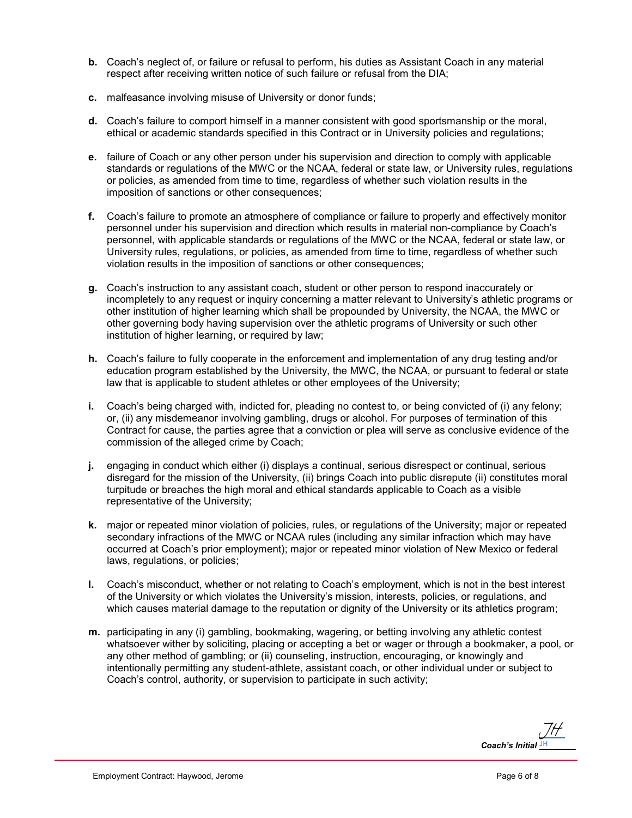- **b.** Coach's neglect of, or failure or refusal to perform, his duties as Assistant Coach in any material respect after receiving written notice of such failure or refusal from the DIA;
- **c.** malfeasance involving misuse of University or donor funds;
- **d.** Coach's failure to comport himself in a manner consistent with good sportsmanship or the moral, ethical or academic standards specified in this Contract or in University policies and regulations;
- **e.** failure of Coach or any other person under his supervision and direction to comply with applicable standards or regulations of the MWC or the NCAA, federal or state law, or University rules, regulations or policies, as amended from time to time, regardless of whether such violation results in the imposition of sanctions or other consequences;
- **f.** Coach's failure to promote an atmosphere of compliance or failure to properly and effectively monitor personnel under his supervision and direction which results in material non-compliance by Coach's personnel, with applicable standards or regulations of the MWC or the NCAA, federal or state law, or University rules, regulations, or policies, as amended from time to time, regardless of whether such violation results in the imposition of sanctions or other consequences;
- **g.** Coach's instruction to any assistant coach, student or other person to respond inaccurately or incompletely to any request or inquiry concerning a matter relevant to University's athletic programs or other institution of higher learning which shall be propounded by University, the NCAA, the MWC or other governing body having supervision over the athletic programs of University or such other institution of higher learning, or required by law;
- **h.** Coach's failure to fully cooperate in the enforcement and implementation of any drug testing and/or education program established by the University, the MWC, the NCAA, or pursuant to federal or state law that is applicable to student athletes or other employees of the University;
- **i.** Coach's being charged with, indicted for, pleading no contest to, or being convicted of (i) any felony; or, (ii) any misdemeanor involving gambling, drugs or alcohol. For purposes of termination of this Contract for cause, the parties agree that a conviction or plea will serve as conclusive evidence of the commission of the alleged crime by Coach;
- **j.** engaging in conduct which either (i) displays a continual, serious disrespect or continual, serious disregard for the mission of the University, (ii) brings Coach into public disrepute (ii) constitutes moral turpitude or breaches the high moral and ethical standards applicable to Coach as a visible representative of the University;
- **k.** major or repeated minor violation of policies, rules, or regulations of the University; major or repeated secondary infractions of the MWC or NCAA rules (including any similar infraction which may have occurred at Coach's prior employment); major or repeated minor violation of New Mexico or federal laws, regulations, or policies;
- **l.** Coach's misconduct, whether or not relating to Coach's employment, which is not in the best interest of the University or which violates the University's mission, interests, policies, or regulations, and which causes material damage to the reputation or dignity of the University or its athletics program;
- **m.** participating in any (i) gambling, bookmaking, wagering, or betting involving any athletic contest whatsoever wither by soliciting, placing or accepting a bet or wager or through a bookmaker, a pool, or any other method of gambling; or (ii) counseling, instruction, encouraging, or knowingly and intentionally permitting any student-athlete, assistant coach, or other individual under or subject to Coach's control, authority, or supervision to participate in such activity;

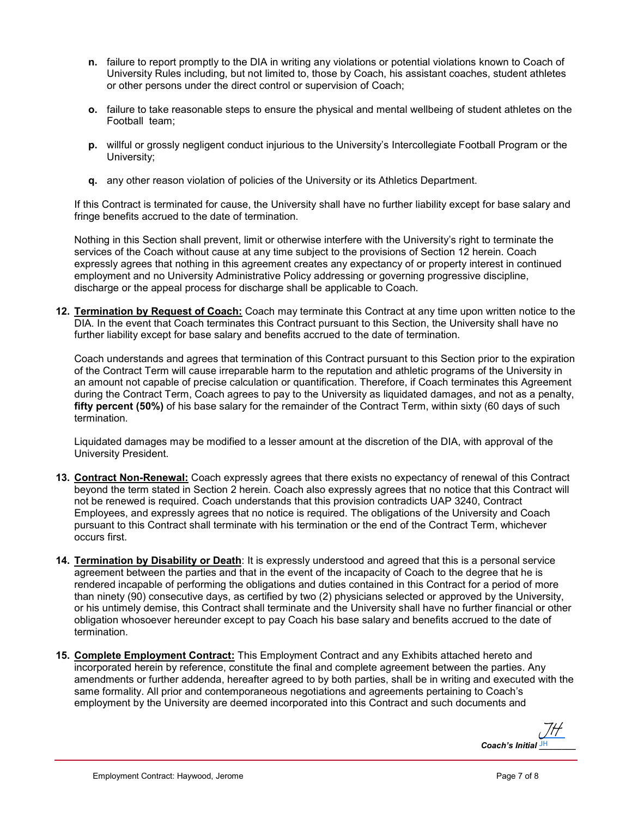- **n.** failure to report promptly to the DIA in writing any violations or potential violations known to Coach of University Rules including, but not limited to, those by Coach, his assistant coaches, student athletes or other persons under the direct control or supervision of Coach;
- **o.** failure to take reasonable steps to ensure the physical and mental wellbeing of student athletes on the Football team;
- **p.** willful or grossly negligent conduct injurious to the University's Intercollegiate Football Program or the University;
- **q.** any other reason violation of policies of the University or its Athletics Department.

If this Contract is terminated for cause, the University shall have no further liability except for base salary and fringe benefits accrued to the date of termination.

Nothing in this Section shall prevent, limit or otherwise interfere with the University's right to terminate the services of the Coach without cause at any time subject to the provisions of Section 12 herein. Coach expressly agrees that nothing in this agreement creates any expectancy of or property interest in continued employment and no University Administrative Policy addressing or governing progressive discipline, discharge or the appeal process for discharge shall be applicable to Coach.

**12. Termination by Request of Coach:** Coach may terminate this Contract at any time upon written notice to the DIA. In the event that Coach terminates this Contract pursuant to this Section, the University shall have no further liability except for base salary and benefits accrued to the date of termination.

Coach understands and agrees that termination of this Contract pursuant to this Section prior to the expiration of the Contract Term will cause irreparable harm to the reputation and athletic programs of the University in an amount not capable of precise calculation or quantification. Therefore, if Coach terminates this Agreement during the Contract Term, Coach agrees to pay to the University as liquidated damages, and not as a penalty, **fifty percent (50%)** of his base salary for the remainder of the Contract Term, within sixty (60 days of such termination.

Liquidated damages may be modified to a lesser amount at the discretion of the DIA, with approval of the University President.

- **13. Contract Non-Renewal:** Coach expressly agrees that there exists no expectancy of renewal of this Contract beyond the term stated in Section 2 herein. Coach also expressly agrees that no notice that this Contract will not be renewed is required. Coach understands that this provision contradicts UAP 3240, Contract Employees, and expressly agrees that no notice is required. The obligations of the University and Coach pursuant to this Contract shall terminate with his termination or the end of the Contract Term, whichever occurs first.
- **14. Termination by Disability or Death**: It is expressly understood and agreed that this is a personal service agreement between the parties and that in the event of the incapacity of Coach to the degree that he is rendered incapable of performing the obligations and duties contained in this Contract for a period of more than ninety (90) consecutive days, as certified by two (2) physicians selected or approved by the University, or his untimely demise, this Contract shall terminate and the University shall have no further financial or other obligation whosoever hereunder except to pay Coach his base salary and benefits accrued to the date of termination.
- **15. Complete Employment Contract:** This Employment Contract and any Exhibits attached hereto and incorporated herein by reference, constitute the final and complete agreement between the parties. Any amendments or further addenda, hereafter agreed to by both parties, shall be in writing and executed with the same formality. All prior and contemporaneous negotiations and agreements pertaining to Coach's employment by the University are deemed incorporated into this Contract and such documents and